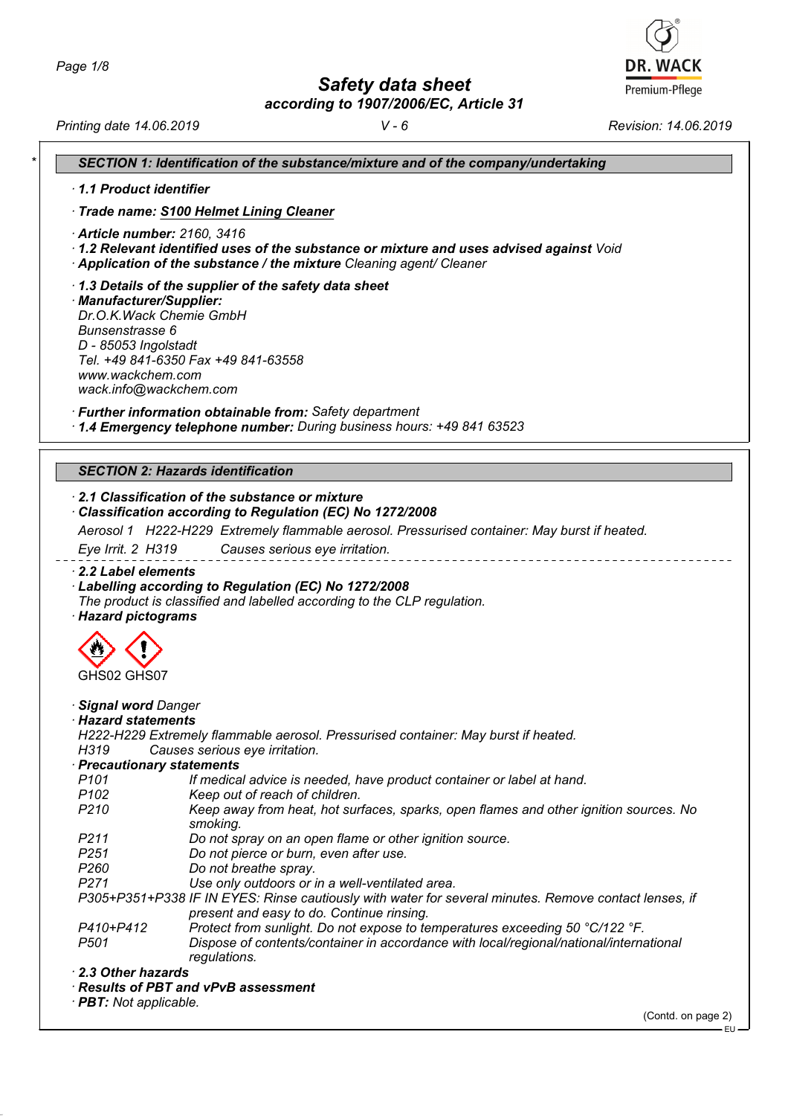*Safety data sheet*

*according to 1907/2006/EC, Article 31*



*Printing date 14.06.2019 V - 6 Revision: 14.06.2019*

| 1.1 Product identifier        |                                                                                                                                                                        |
|-------------------------------|------------------------------------------------------------------------------------------------------------------------------------------------------------------------|
|                               | · Trade name: S100 Helmet Lining Cleaner                                                                                                                               |
| · Article number: 2160, 3416  |                                                                                                                                                                        |
|                               | · 1.2 Relevant identified uses of the substance or mixture and uses advised against Void                                                                               |
|                               | Application of the substance / the mixture Cleaning agent/ Cleaner                                                                                                     |
|                               | 1.3 Details of the supplier of the safety data sheet                                                                                                                   |
| · Manufacturer/Supplier:      |                                                                                                                                                                        |
| Dr.O.K. Wack Chemie GmbH      |                                                                                                                                                                        |
| Bunsenstrasse 6               |                                                                                                                                                                        |
| D - 85053 Ingolstadt          | Tel. +49 841-6350 Fax +49 841-63558                                                                                                                                    |
| www.wackchem.com              |                                                                                                                                                                        |
| wack.info@wackchem.com        |                                                                                                                                                                        |
|                               |                                                                                                                                                                        |
|                               | · Further information obtainable from: Safety department                                                                                                               |
|                               | · 1.4 Emergency telephone number: During business hours: +49 841 63523                                                                                                 |
|                               |                                                                                                                                                                        |
|                               | <b>SECTION 2: Hazards identification</b>                                                                                                                               |
|                               | 2.1 Classification of the substance or mixture                                                                                                                         |
|                               | Classification according to Regulation (EC) No 1272/2008                                                                                                               |
|                               |                                                                                                                                                                        |
|                               |                                                                                                                                                                        |
|                               | Aerosol 1 H222-H229 Extremely flammable aerosol. Pressurised container: May burst if heated.                                                                           |
| Eye Irrit. 2 H319             | Causes serious eye irritation.                                                                                                                                         |
|                               |                                                                                                                                                                        |
| 2.2 Label elements            |                                                                                                                                                                        |
|                               | Labelling according to Regulation (EC) No 1272/2008                                                                                                                    |
|                               | The product is classified and labelled according to the CLP regulation.                                                                                                |
| · Hazard pictograms           |                                                                                                                                                                        |
|                               |                                                                                                                                                                        |
|                               |                                                                                                                                                                        |
| GHS02 GHS07                   |                                                                                                                                                                        |
|                               |                                                                                                                                                                        |
| Signal word Danger            |                                                                                                                                                                        |
| · Hazard statements           |                                                                                                                                                                        |
|                               | H222-H229 Extremely flammable aerosol. Pressurised container: May burst if heated.                                                                                     |
| H319                          | Causes serious eye irritation.                                                                                                                                         |
| · Precautionary statements    |                                                                                                                                                                        |
| P <sub>101</sub>              | If medical advice is needed, have product container or label at hand.                                                                                                  |
| P <sub>102</sub>              | Keep out of reach of children.                                                                                                                                         |
| P <sub>210</sub>              | Keep away from heat, hot surfaces, sparks, open flames and other ignition sources. No                                                                                  |
|                               | smoking.                                                                                                                                                               |
| P <sub>211</sub>              | Do not spray on an open flame or other ignition source.                                                                                                                |
| P <sub>251</sub>              | Do not pierce or burn, even after use.                                                                                                                                 |
| P <sub>260</sub>              | Do not breathe spray.                                                                                                                                                  |
| P271                          | Use only outdoors or in a well-ventilated area.                                                                                                                        |
|                               | P305+P351+P338 IF IN EYES: Rinse cautiously with water for several minutes. Remove contact lenses, if                                                                  |
|                               | present and easy to do. Continue rinsing.                                                                                                                              |
| P410+P412<br>P <sub>501</sub> | Protect from sunlight. Do not expose to temperatures exceeding 50 °C/122 °F.<br>Dispose of contents/container in accordance with local/regional/national/international |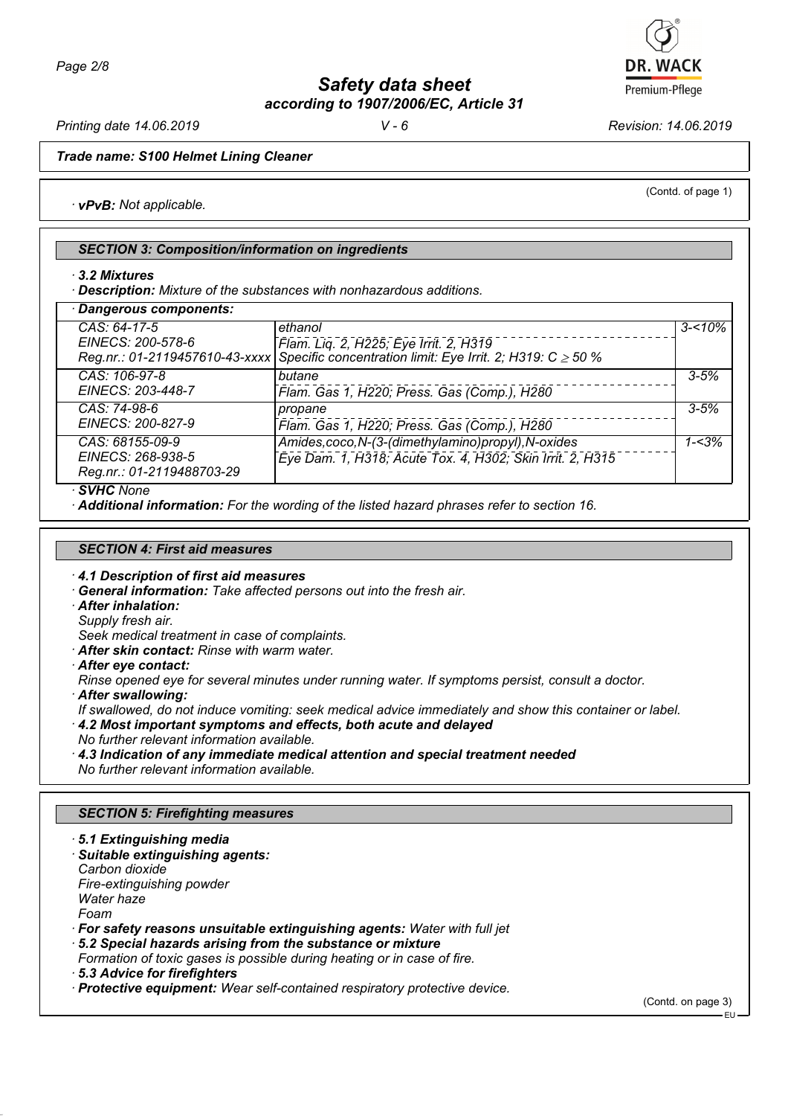

*Printing date 14.06.2019 V - 6 Revision: 14.06.2019*

(Contd. of page 1)

*Trade name: S100 Helmet Lining Cleaner*

*· vPvB: Not applicable.*

## *SECTION 3: Composition/information on ingredients*

*· 3.2 Mixtures*

*· Description: Mixture of the substances with nonhazardous additions.*

| · Dangerous components:                                           |                                                                                                                                                     |            |
|-------------------------------------------------------------------|-----------------------------------------------------------------------------------------------------------------------------------------------------|------------|
| CAS: 64-17-5<br>EINECS: 200-578-6                                 | ethanol<br>Flam. Lig. 2, H225; Eye Irrit. 2, H319<br>Reg.nr.: 01-2119457610-43-xxxx Specific concentration limit: Eye Irrit. 2; H319: C $\geq$ 50 % | $3 - 10\%$ |
| CAS: 106-97-8<br>EINECS: 203-448-7                                | butane<br>Flam. Gas 1, H220; Press. Gas (Comp.), H280                                                                                               | $3 - 5%$   |
| CAS: 74-98-6<br>EINECS: 200-827-9                                 | propane<br>Flam. Gas 1, H220; Press. Gas (Comp.), H280                                                                                              | $3 - 5%$   |
| CAS: 68155-09-9<br>EINECS: 268-938-5<br>Reg.nr.: 01-2119488703-29 | Amides, coco, N-(3-(dimethylamino) propyl), N-oxides<br>Eye Dam. 1, H318; Acute Tox. 4, H302; Skin Irrit. 2, H315                                   | $1 - 3%$   |
| · SVHC None                                                       |                                                                                                                                                     |            |

*· Additional information: For the wording of the listed hazard phrases refer to section 16.*

## *SECTION 4: First aid measures*

- *· 4.1 Description of first aid measures*
- *· General information: Take affected persons out into the fresh air.*
- *· After inhalation:*
- *Supply fresh air.*

*Seek medical treatment in case of complaints.*

- *· After skin contact: Rinse with warm water.*
- *· After eye contact:*
- *Rinse opened eye for several minutes under running water. If symptoms persist, consult a doctor.*
- *· After swallowing:*
- *If swallowed, do not induce vomiting: seek medical advice immediately and show this container or label.*
- *· 4.2 Most important symptoms and effects, both acute and delayed No further relevant information available.*
- *· 4.3 Indication of any immediate medical attention and special treatment needed No further relevant information available.*

## *SECTION 5: Firefighting measures*

*· 5.1 Extinguishing media · Suitable extinguishing agents: Carbon dioxide Fire-extinguishing powder Water haze Foam*

*· For safety reasons unsuitable extinguishing agents: Water with full jet*

*· 5.2 Special hazards arising from the substance or mixture*

*Formation of toxic gases is possible during heating or in case of fire.*

(Contd. on page 3)

*<sup>·</sup> 5.3 Advice for firefighters*

*<sup>·</sup> Protective equipment: Wear self-contained respiratory protective device.*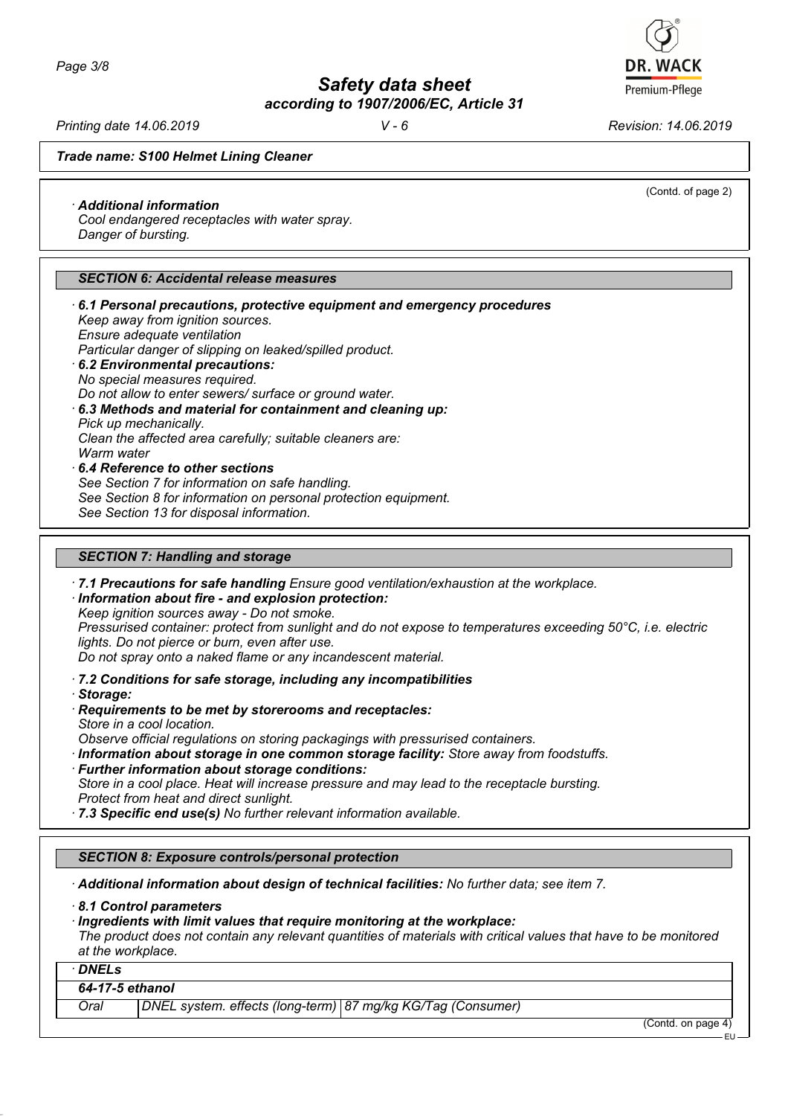*Printing date 14.06.2019 V - 6 Revision: 14.06.2019*

(Contd. of page 2)

*Trade name: S100 Helmet Lining Cleaner*

## *· Additional information*

*Cool endangered receptacles with water spray. Danger of bursting.*

## *SECTION 6: Accidental release measures*

*· 6.1 Personal precautions, protective equipment and emergency procedures Keep away from ignition sources. Ensure adequate ventilation Particular danger of slipping on leaked/spilled product. · 6.2 Environmental precautions: No special measures required. Do not allow to enter sewers/ surface or ground water. · 6.3 Methods and material for containment and cleaning up: Pick up mechanically. Clean the affected area carefully; suitable cleaners are: Warm water · 6.4 Reference to other sections See Section 7 for information on safe handling. See Section 8 for information on personal protection equipment. See Section 13 for disposal information.*

## *SECTION 7: Handling and storage*

*· 7.1 Precautions for safe handling Ensure good ventilation/exhaustion at the workplace.*

*· Information about fire - and explosion protection: Keep ignition sources away - Do not smoke.*

*Pressurised container: protect from sunlight and do not expose to temperatures exceeding 50°C, i.e. electric lights. Do not pierce or burn, even after use.*

*Do not spray onto a naked flame or any incandescent material.*

*· 7.2 Conditions for safe storage, including any incompatibilities*

- *· Storage:*
- *· Requirements to be met by storerooms and receptacles: Store in a cool location.*

*Observe official regulations on storing packagings with pressurised containers.*

*· Information about storage in one common storage facility: Store away from foodstuffs. · Further information about storage conditions:*

*Store in a cool place. Heat will increase pressure and may lead to the receptacle bursting. Protect from heat and direct sunlight.*

*· 7.3 Specific end use(s) No further relevant information available.*

## *SECTION 8: Exposure controls/personal protection*

*· Additional information about design of technical facilities: No further data; see item 7.*

*· 8.1 Control parameters*

*· Ingredients with limit values that require monitoring at the workplace:*

*The product does not contain any relevant quantities of materials with critical values that have to be monitored at the workplace.*

*· DNELs*

## *64-17-5 ethanol*

*Oral DNEL system. effects (long-term) 87 mg/kg KG/Tag (Consumer)*

(Contd. on page 4)

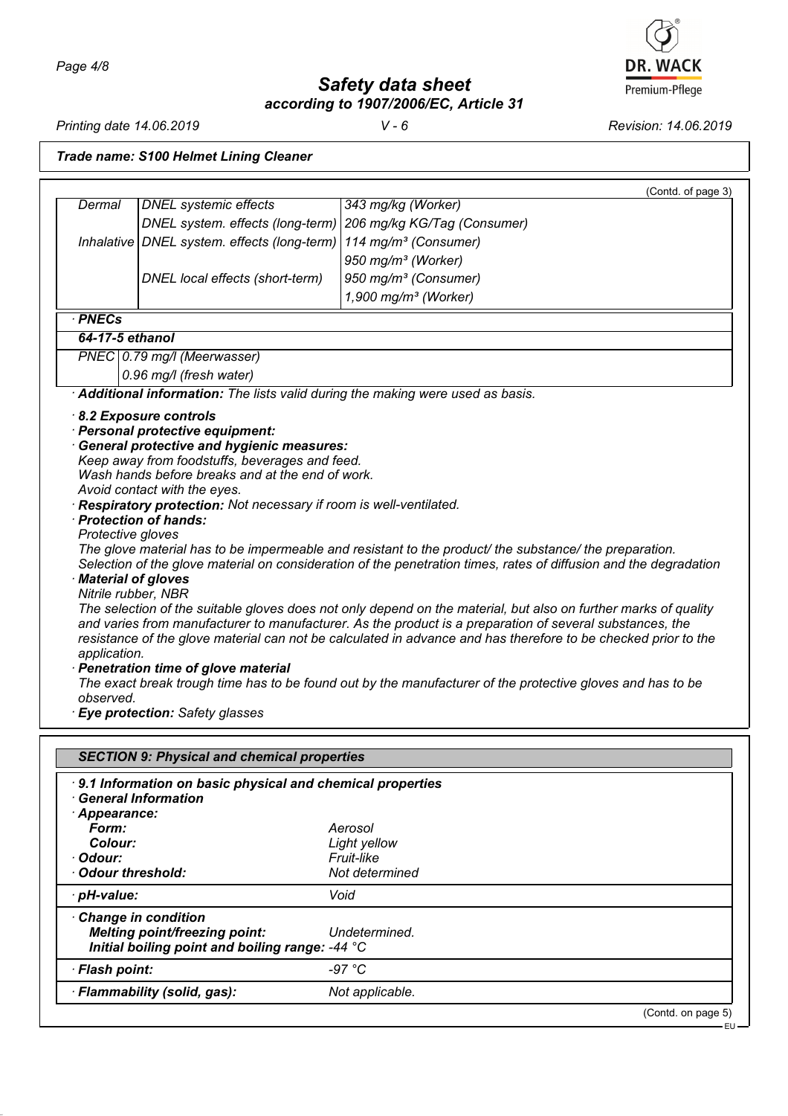**DR. WACK** Premium-Pflege

*Printing date 14.06.2019 V - 6 Revision: 14.06.2019*

*Trade name: S100 Helmet Lining Cleaner*

|                                                 |                                                                                                                                                                                 | (Contd. of page 3)                                                                                                                                                                                                                                                                                                                                                                                                                                                                                                                                                                                                                                                                         |
|-------------------------------------------------|---------------------------------------------------------------------------------------------------------------------------------------------------------------------------------|--------------------------------------------------------------------------------------------------------------------------------------------------------------------------------------------------------------------------------------------------------------------------------------------------------------------------------------------------------------------------------------------------------------------------------------------------------------------------------------------------------------------------------------------------------------------------------------------------------------------------------------------------------------------------------------------|
| Dermal                                          | <b>DNEL</b> systemic effects                                                                                                                                                    | 343 mg/kg (Worker)                                                                                                                                                                                                                                                                                                                                                                                                                                                                                                                                                                                                                                                                         |
|                                                 | DNEL system. effects (long-term)                                                                                                                                                | 206 mg/kg KG/Tag (Consumer)                                                                                                                                                                                                                                                                                                                                                                                                                                                                                                                                                                                                                                                                |
|                                                 | Inhalative   DNEL system. effects (long-term)                                                                                                                                   | 114 mg/m <sup>3</sup> (Consumer)                                                                                                                                                                                                                                                                                                                                                                                                                                                                                                                                                                                                                                                           |
|                                                 |                                                                                                                                                                                 | 950 mg/m <sup>3</sup> (Worker)                                                                                                                                                                                                                                                                                                                                                                                                                                                                                                                                                                                                                                                             |
|                                                 | DNEL local effects (short-term)                                                                                                                                                 | 950 mg/m <sup>3</sup> (Consumer)                                                                                                                                                                                                                                                                                                                                                                                                                                                                                                                                                                                                                                                           |
|                                                 |                                                                                                                                                                                 | $1,900$ mg/m <sup>3</sup> (Worker)                                                                                                                                                                                                                                                                                                                                                                                                                                                                                                                                                                                                                                                         |
| · PNECs                                         |                                                                                                                                                                                 |                                                                                                                                                                                                                                                                                                                                                                                                                                                                                                                                                                                                                                                                                            |
| 64-17-5 ethanol                                 |                                                                                                                                                                                 |                                                                                                                                                                                                                                                                                                                                                                                                                                                                                                                                                                                                                                                                                            |
|                                                 | PNEC 0.79 mg/l (Meerwasser)                                                                                                                                                     |                                                                                                                                                                                                                                                                                                                                                                                                                                                                                                                                                                                                                                                                                            |
|                                                 | 0.96 mg/l (fresh water)                                                                                                                                                         |                                                                                                                                                                                                                                                                                                                                                                                                                                                                                                                                                                                                                                                                                            |
|                                                 |                                                                                                                                                                                 | Additional information: The lists valid during the making were used as basis.                                                                                                                                                                                                                                                                                                                                                                                                                                                                                                                                                                                                              |
| Protective gloves                               | Wash hands before breaks and at the end of work.<br>Avoid contact with the eyes.<br>Respiratory protection: Not necessary if room is well-ventilated.<br>· Protection of hands: |                                                                                                                                                                                                                                                                                                                                                                                                                                                                                                                                                                                                                                                                                            |
| Material of gloves<br>application.<br>observed. | Nitrile rubber, NBR<br>· Penetration time of glove material<br>· Eye protection: Safety glasses                                                                                 | The glove material has to be impermeable and resistant to the product/ the substance/ the preparation.<br>Selection of the glove material on consideration of the penetration times, rates of diffusion and the degradation<br>The selection of the suitable gloves does not only depend on the material, but also on further marks of quality<br>and varies from manufacturer to manufacturer. As the product is a preparation of several substances, the<br>resistance of the glove material can not be calculated in advance and has therefore to be checked prior to the<br>The exact break trough time has to be found out by the manufacturer of the protective gloves and has to be |
|                                                 | <b>SECTION 9: Physical and chemical properties</b>                                                                                                                              |                                                                                                                                                                                                                                                                                                                                                                                                                                                                                                                                                                                                                                                                                            |
| Appearance:<br>Form:                            | 9.1 Information on basic physical and chemical properties<br><b>General Information</b>                                                                                         | Aerosol                                                                                                                                                                                                                                                                                                                                                                                                                                                                                                                                                                                                                                                                                    |
| Colour:                                         |                                                                                                                                                                                 | Light yellow                                                                                                                                                                                                                                                                                                                                                                                                                                                                                                                                                                                                                                                                               |
| Odour:                                          |                                                                                                                                                                                 | Fruit-like                                                                                                                                                                                                                                                                                                                                                                                                                                                                                                                                                                                                                                                                                 |
| <b>Odour threshold:</b>                         |                                                                                                                                                                                 | Not determined                                                                                                                                                                                                                                                                                                                                                                                                                                                                                                                                                                                                                                                                             |
| pH-value:                                       |                                                                                                                                                                                 | Void                                                                                                                                                                                                                                                                                                                                                                                                                                                                                                                                                                                                                                                                                       |
|                                                 | <b>Change in condition</b><br><b>Melting point/freezing point:</b><br>Initial boiling point and boiling range: -44 °C                                                           | Undetermined.                                                                                                                                                                                                                                                                                                                                                                                                                                                                                                                                                                                                                                                                              |
| · Flash point:                                  |                                                                                                                                                                                 | $-97 °C$                                                                                                                                                                                                                                                                                                                                                                                                                                                                                                                                                                                                                                                                                   |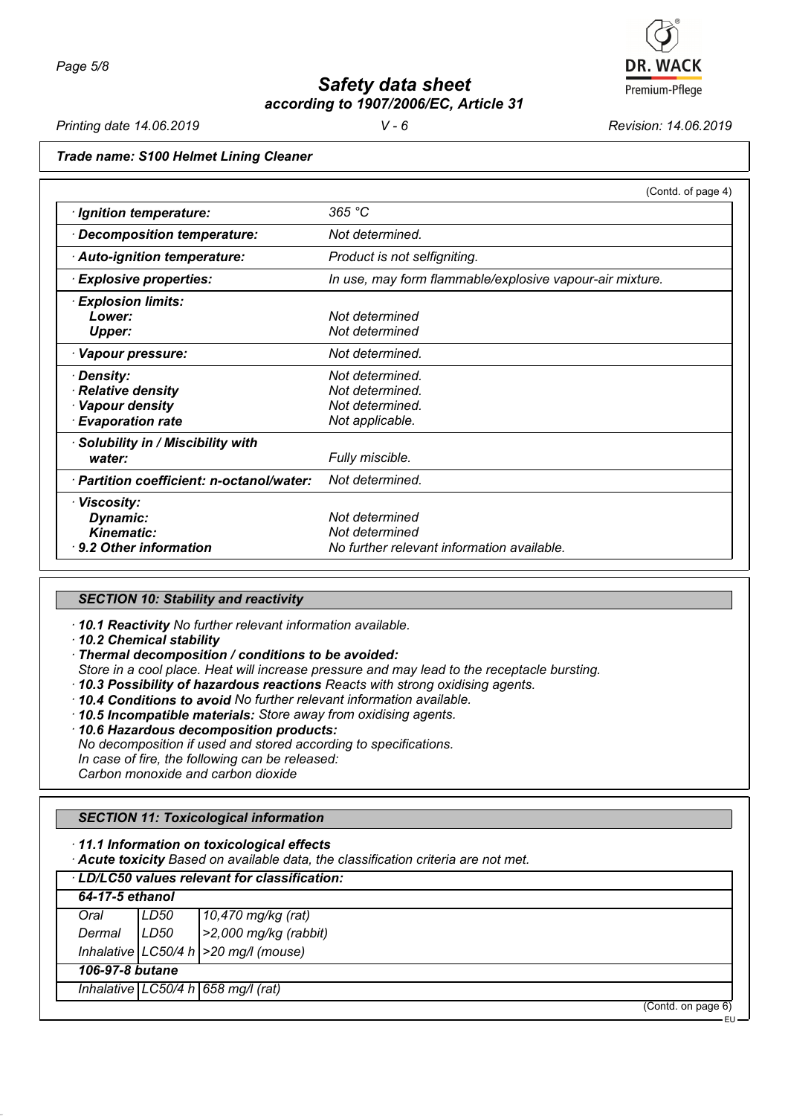

*Printing date 14.06.2019 V - 6 Revision: 14.06.2019*

EU

## *Trade name: S100 Helmet Lining Cleaner*

|                                           | (Contd. of page 4)                                       |
|-------------------------------------------|----------------------------------------------------------|
| · Ignition temperature:                   | 365 °C                                                   |
| · Decomposition temperature:              | Not determined.                                          |
| Auto-ignition temperature:                | Product is not selfigniting.                             |
| <b>Explosive properties:</b>              | In use, may form flammable/explosive vapour-air mixture. |
| · Explosion limits:                       |                                                          |
| Lower:                                    | Not determined                                           |
| <b>Upper:</b>                             | Not determined                                           |
| · Vapour pressure:                        | Not determined.                                          |
| · Density:                                | Not determined.                                          |
| · Relative density                        | Not determined.                                          |
| · Vapour density                          | Not determined.                                          |
| <b>Evaporation rate</b>                   | Not applicable.                                          |
| · Solubility in / Miscibility with        |                                                          |
| water:                                    | Fully miscible.                                          |
| · Partition coefficient: n-octanol/water: | Not determined.                                          |
| · Viscosity:                              |                                                          |
| Dynamic:                                  | Not determined                                           |
| Kinematic:                                | Not determined                                           |
| $\cdot$ 9.2 Other information             | No further relevant information available.               |

## *SECTION 10: Stability and reactivity*

*· 10.1 Reactivity No further relevant information available.*

*· 10.2 Chemical stability*

*· Thermal decomposition / conditions to be avoided:*

*Store in a cool place. Heat will increase pressure and may lead to the receptacle bursting.*

*· 10.3 Possibility of hazardous reactions Reacts with strong oxidising agents.*

*· 10.4 Conditions to avoid No further relevant information available.*

*· 10.5 Incompatible materials: Store away from oxidising agents.*

*· 10.6 Hazardous decomposition products:*

*No decomposition if used and stored according to specifications.*

*In case of fire, the following can be released:*

*Carbon monoxide and carbon dioxide*

## *SECTION 11: Toxicological information*

*· 11.1 Information on toxicological effects*

*· Acute toxicity Based on available data, the classification criteria are not met.*

|                 | LD/LC50 values relevant for classification: |                                           |  |  |
|-----------------|---------------------------------------------|-------------------------------------------|--|--|
| 64-17-5 ethanol |                                             |                                           |  |  |
| Oral            | LD50                                        | 10,470 mg/kg (rat)                        |  |  |
| Dermal          | LD50                                        | $ >2,000$ mg/kg (rabbit)                  |  |  |
|                 |                                             | Inhalative $ LC50/4 h  > 20 mg/l$ (mouse) |  |  |
|                 | 106-97-8 butane                             |                                           |  |  |
|                 | Inhalative $ LC50/4 h $ 658 mg/l (rat)      |                                           |  |  |
|                 |                                             | (Contd. on page 6)                        |  |  |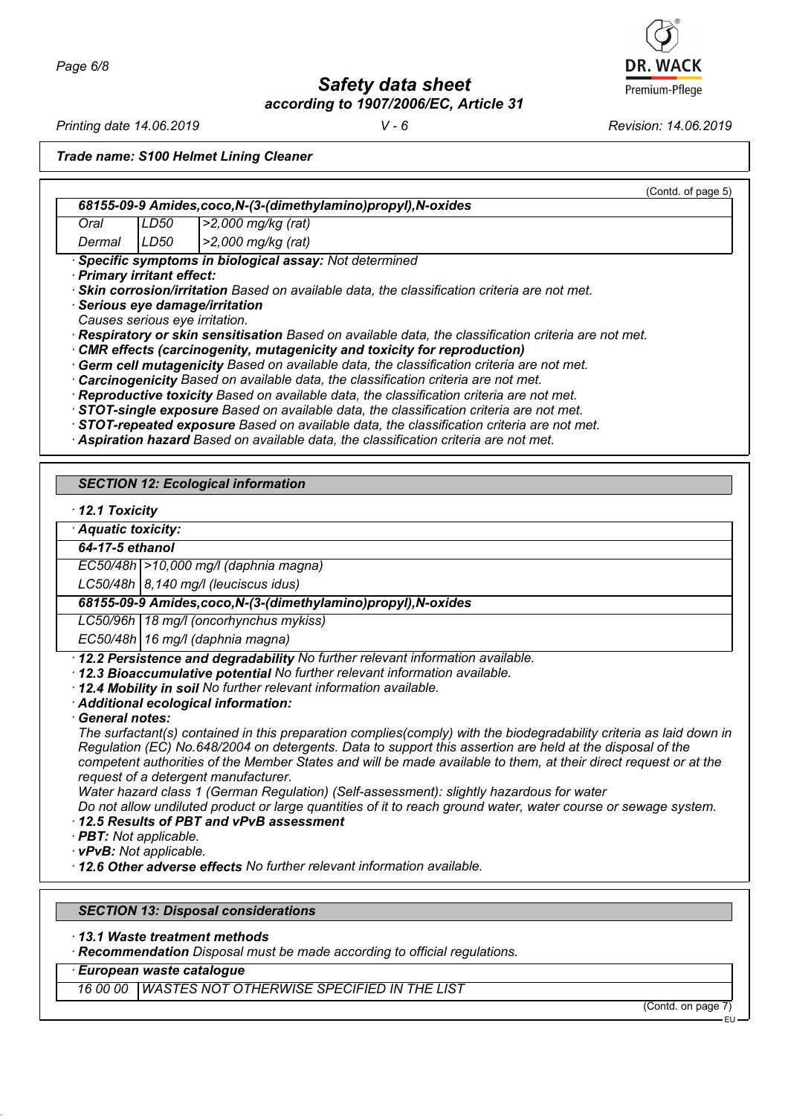*Page 6/8*

*Safety data sheet according to 1907/2006/EC, Article 31*

*Printing date 14.06.2019 V - 6 Revision: 14.06.2019*

*Trade name: S100 Helmet Lining Cleaner*

(Contd. of page 5) *68155-09-9 Amides,coco,N-(3-(dimethylamino)propyl),N-oxides Oral LD50 >2,000 mg/kg (rat) Dermal LD50 >2,000 mg/kg (rat) · Specific symptoms in biological assay: Not determined · Primary irritant effect: · Skin corrosion/irritation Based on available data, the classification criteria are not met. · Serious eye damage/irritation Causes serious eye irritation. · Respiratory or skin sensitisation Based on available data, the classification criteria are not met. · CMR effects (carcinogenity, mutagenicity and toxicity for reproduction) · Germ cell mutagenicity Based on available data, the classification criteria are not met. · Carcinogenicity Based on available data, the classification criteria are not met. · Reproductive toxicity Based on available data, the classification criteria are not met. · STOT-single exposure Based on available data, the classification criteria are not met. · STOT-repeated exposure Based on available data, the classification criteria are not met. · Aspiration hazard Based on available data, the classification criteria are not met. SECTION 12: Ecological information · 12.1 Toxicity · Aquatic toxicity: 64-17-5 ethanol EC50/48h >10,000 mg/l (daphnia magna) LC50/48h 8,140 mg/l (leuciscus idus) 68155-09-9 Amides,coco,N-(3-(dimethylamino)propyl),N-oxides LC50/96h 18 mg/l (oncorhynchus mykiss) EC50/48h 16 mg/l (daphnia magna) · 12.2 Persistence and degradability No further relevant information available. · 12.3 Bioaccumulative potential No further relevant information available. · 12.4 Mobility in soil No further relevant information available. · Additional ecological information: · General notes: The surfactant(s) contained in this preparation complies(comply) with the biodegradability criteria as laid down in Regulation (EC) No.648/2004 on detergents. Data to support this assertion are held at the disposal of the competent authorities of the Member States and will be made available to them, at their direct request or at the request of a detergent manufacturer. Water hazard class 1 (German Regulation) (Self-assessment): slightly hazardous for water Do not allow undiluted product or large quantities of it to reach ground water, water course or sewage system. · 12.5 Results of PBT and vPvB assessment · PBT: Not applicable. · vPvB: Not applicable. · 12.6 Other adverse effects No further relevant information available.*

## *SECTION 13: Disposal considerations*

*· 13.1 Waste treatment methods*

*· Recommendation Disposal must be made according to official regulations.*

*· European waste catalogue*

*16 00 00 WASTES NOT OTHERWISE SPECIFIED IN THE LIST*

(Contd. on page 7)

EU

# Premium-Pflege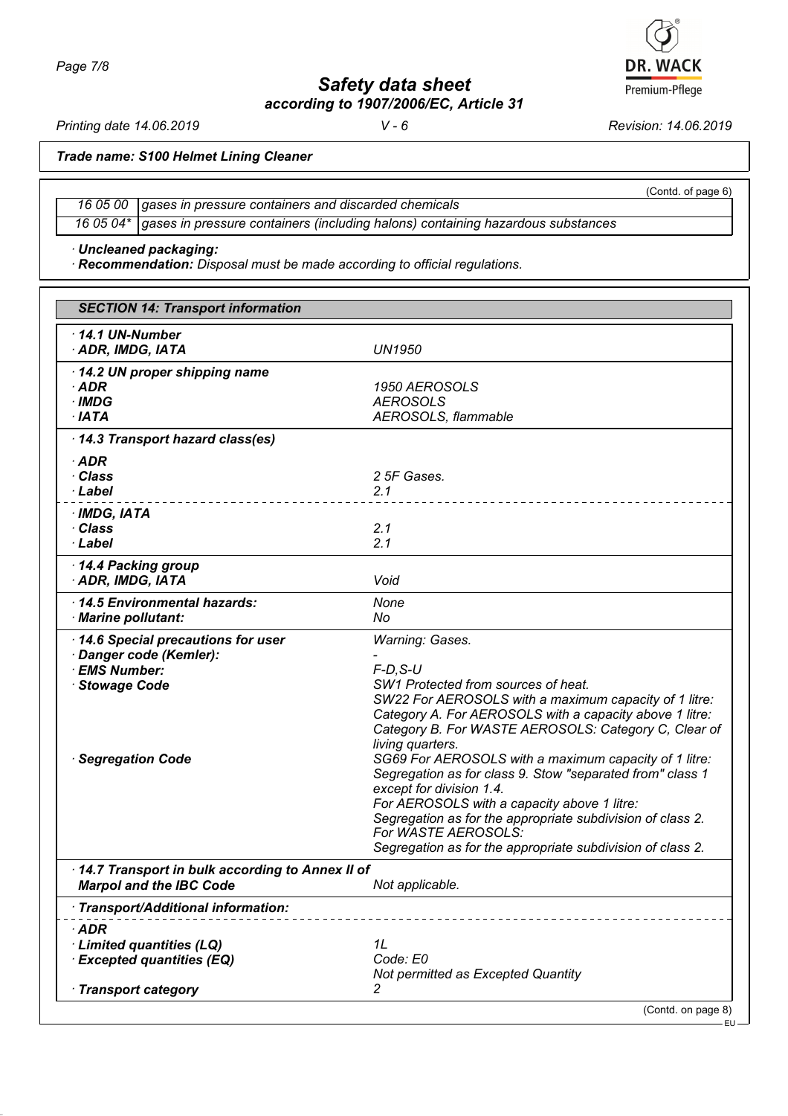*Safety data sheet*

*according to 1907/2006/EC, Article 31*

*Printing date 14.06.2019 V - 6 Revision: 14.06.2019*

**DR. WACK** 

*Trade name: S100 Helmet Lining Cleaner*

*16 05 00 gases in pressure containers and discarded chemicals 16 05 04\* gases in pressure containers (including halons) containing hazardous substances*

*· Uncleaned packaging:*

*· Recommendation: Disposal must be made according to official regulations.*

| <b>SECTION 14: Transport information</b>                                                                            |                                                                                                                                                                                                                                                                                                                                                                                                                                                                                                                                                                                                                             |
|---------------------------------------------------------------------------------------------------------------------|-----------------------------------------------------------------------------------------------------------------------------------------------------------------------------------------------------------------------------------------------------------------------------------------------------------------------------------------------------------------------------------------------------------------------------------------------------------------------------------------------------------------------------------------------------------------------------------------------------------------------------|
| 14.1 UN-Number<br>· ADR, IMDG, IATA                                                                                 | <b>UN1950</b>                                                                                                                                                                                                                                                                                                                                                                                                                                                                                                                                                                                                               |
| 14.2 UN proper shipping name<br>$·$ ADR<br>$\cdot$ IMDG<br>$·$ IATA                                                 | 1950 AEROSOLS<br><b>AEROSOLS</b><br>AEROSOLS, flammable                                                                                                                                                                                                                                                                                                                                                                                                                                                                                                                                                                     |
| 14.3 Transport hazard class(es)                                                                                     |                                                                                                                                                                                                                                                                                                                                                                                                                                                                                                                                                                                                                             |
| $\cdot$ ADR<br>· Class<br>· Label                                                                                   | 2 5F Gases.<br>2.1                                                                                                                                                                                                                                                                                                                                                                                                                                                                                                                                                                                                          |
| $·$ IMDG, IATA<br>· Class<br>· Label                                                                                | 2.1<br>2.1                                                                                                                                                                                                                                                                                                                                                                                                                                                                                                                                                                                                                  |
| 14.4 Packing group<br>· ADR, IMDG, IATA                                                                             | Void                                                                                                                                                                                                                                                                                                                                                                                                                                                                                                                                                                                                                        |
| 14.5 Environmental hazards:<br>· Marine pollutant:                                                                  | None<br>No                                                                                                                                                                                                                                                                                                                                                                                                                                                                                                                                                                                                                  |
| 14.6 Special precautions for user<br>Danger code (Kemler):<br>· EMS Number:<br>· Stowage Code<br>· Segregation Code | Warning: Gases.<br>$F-D$ , $S-U$<br>SW1 Protected from sources of heat.<br>SW22 For AEROSOLS with a maximum capacity of 1 litre:<br>Category A. For AEROSOLS with a capacity above 1 litre:<br>Category B. For WASTE AEROSOLS: Category C, Clear of<br>living quarters.<br>SG69 For AEROSOLS with a maximum capacity of 1 litre:<br>Segregation as for class 9. Stow "separated from" class 1<br>except for division 1.4.<br>For AEROSOLS with a capacity above 1 litre:<br>Segregation as for the appropriate subdivision of class 2.<br>For WASTE AEROSOLS:<br>Segregation as for the appropriate subdivision of class 2. |
| · 14.7 Transport in bulk according to Annex II of<br><b>Marpol and the IBC Code</b>                                 | Not applicable.                                                                                                                                                                                                                                                                                                                                                                                                                                                                                                                                                                                                             |
| · Transport/Additional information:                                                                                 |                                                                                                                                                                                                                                                                                                                                                                                                                                                                                                                                                                                                                             |
| $\cdot$ ADR<br>Limited quantities (LQ)<br><b>Excepted quantities (EQ)</b>                                           | 1L<br>Code: E0<br>Not permitted as Excepted Quantity                                                                                                                                                                                                                                                                                                                                                                                                                                                                                                                                                                        |
| · Transport category                                                                                                | 2                                                                                                                                                                                                                                                                                                                                                                                                                                                                                                                                                                                                                           |
|                                                                                                                     | (Contd. on page 8)<br>٠EU                                                                                                                                                                                                                                                                                                                                                                                                                                                                                                                                                                                                   |

Premium-Pflege

(Contd. of page 6)